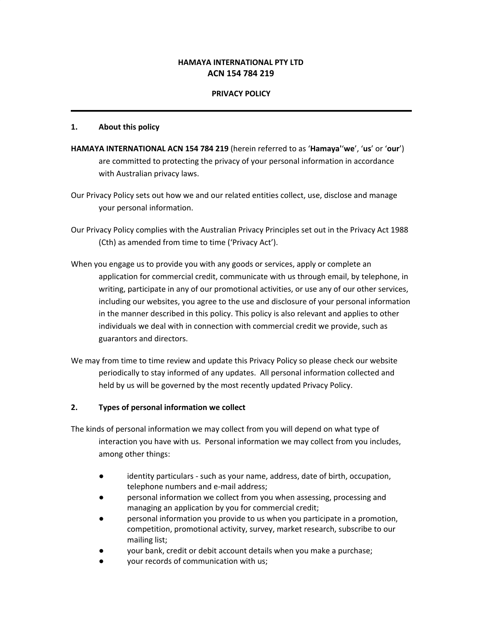# **HAMAYA INTERNATIONAL PTY LTD ACN 154 784 219**

### **PRIVACY POLICY**

### **1. About this policy**

- **HAMAYA INTERNATIONAL ACN 154 784 219** (herein referred to as '**Hamaya'**'**we**', '**us**' or '**our**') are committed to protecting the privacy of your personal information in accordance with Australian privacy laws.
- Our Privacy Policy sets out how we and our related entities collect, use, disclose and manage your personal information.
- Our Privacy Policy complies with the Australian Privacy Principles set out in the Privacy Act 1988 (Cth) as amended from time to time ('Privacy Act').
- When you engage us to provide you with any goods or services, apply or complete an application for commercial credit, communicate with us through email, by telephone, in writing, participate in any of our promotional activities, or use any of our other services, including our websites, you agree to the use and disclosure of your personal information in the manner described in this policy. This policy is also relevant and applies to other individuals we deal with in connection with commercial credit we provide, such as guarantors and directors.
- We may from time to time review and update this Privacy Policy so please check our website periodically to stay informed of any updates. All personal information collected and held by us will be governed by the most recently updated Privacy Policy.

### **2. Types of personal information we collect**

- The kinds of personal information we may collect from you will depend on what type of interaction you have with us. Personal information we may collect from you includes, among other things:
	- identity particulars such as your name, address, date of birth, occupation, telephone numbers and e-mail address;
	- personal information we collect from you when assessing, processing and managing an application by you for commercial credit;
	- personal information you provide to us when you participate in a promotion, competition, promotional activity, survey, market research, subscribe to our mailing list;
	- your bank, credit or debit account details when you make a purchase;
	- your records of communication with us;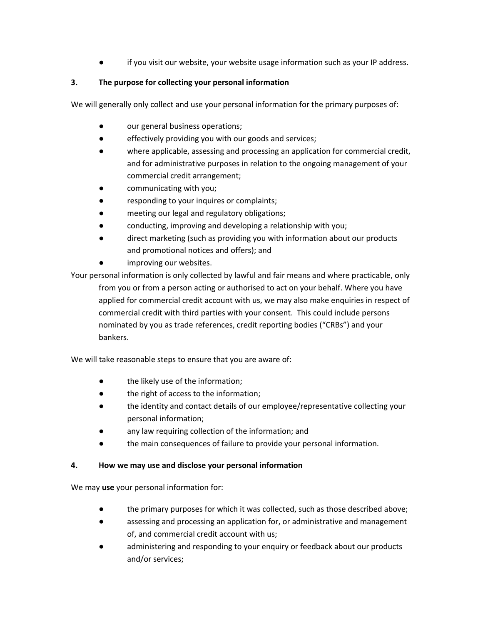● if you visit our website, your website usage information such as your IP address.

# **3. The purpose for collecting your personal information**

We will generally only collect and use your personal information for the primary purposes of:

- our general business operations;
- effectively providing you with our goods and services;
- where applicable, assessing and processing an application for commercial credit, and for administrative purposes in relation to the ongoing management of your commercial credit arrangement;
- communicating with you;
- responding to your inquires or complaints;
- meeting our legal and regulatory obligations;
- conducting, improving and developing a relationship with you;
- direct marketing (such as providing you with information about our products and promotional notices and offers); and
- improving our websites.

Your personal information is only collected by lawful and fair means and where practicable, only from you or from a person acting or authorised to act on your behalf. Where you have applied for commercial credit account with us, we may also make enquiries in respect of commercial credit with third parties with your consent. This could include persons nominated by you as trade references, credit reporting bodies ("CRBs") and your bankers.

We will take reasonable steps to ensure that you are aware of:

- the likely use of the information;
- the right of access to the information;
- the identity and contact details of our employee/representative collecting your personal information;
- any law requiring collection of the information; and
- the main consequences of failure to provide your personal information.

## **4. How we may use and disclose your personal information**

We may **use** your personal information for:

- the primary purposes for which it was collected, such as those described above;
- assessing and processing an application for, or administrative and management of, and commercial credit account with us;
- administering and responding to your enquiry or feedback about our products and/or services;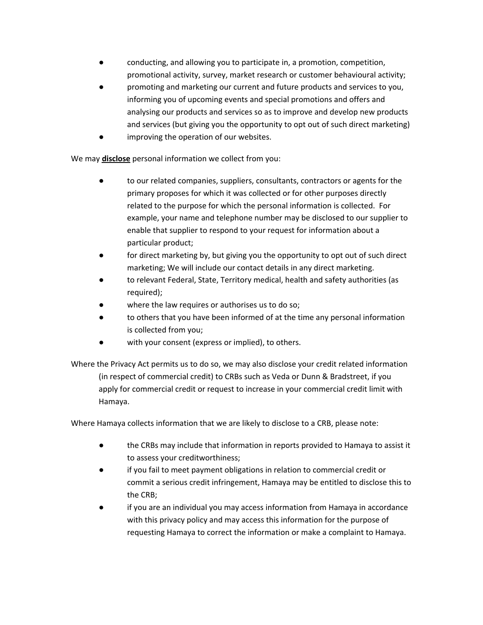- conducting, and allowing you to participate in, a promotion, competition, promotional activity, survey, market research or customer behavioural activity;
- promoting and marketing our current and future products and services to you, informing you of upcoming events and special promotions and offers and analysing our products and services so as to improve and develop new products and services (but giving you the opportunity to opt out of such direct marketing)
- improving the operation of our websites.

We may **disclose** personal information we collect from you:

- to our related companies, suppliers, consultants, contractors or agents for the primary proposes for which it was collected or for other purposes directly related to the purpose for which the personal information is collected. For example, your name and telephone number may be disclosed to our supplier to enable that supplier to respond to your request for information about a particular product;
- for direct marketing by, but giving you the opportunity to opt out of such direct marketing; We will include our contact details in any direct marketing.
- to relevant Federal, State, Territory medical, health and safety authorities (as required);
- where the law requires or authorises us to do so;
- to others that you have been informed of at the time any personal information is collected from you;
- with your consent (express or implied), to others.

Where the Privacy Act permits us to do so, we may also disclose your credit related information (in respect of commercial credit) to CRBs such as Veda or Dunn & Bradstreet, if you apply for commercial credit or request to increase in your commercial credit limit with Hamaya.

Where Hamaya collects information that we are likely to disclose to a CRB, please note:

- the CRBs may include that information in reports provided to Hamaya to assist it to assess your creditworthiness;
- if you fail to meet payment obligations in relation to commercial credit or commit a serious credit infringement, Hamaya may be entitled to disclose this to the CRB;
- if you are an individual you may access information from Hamaya in accordance with this privacy policy and may access this information for the purpose of requesting Hamaya to correct the information or make a complaint to Hamaya.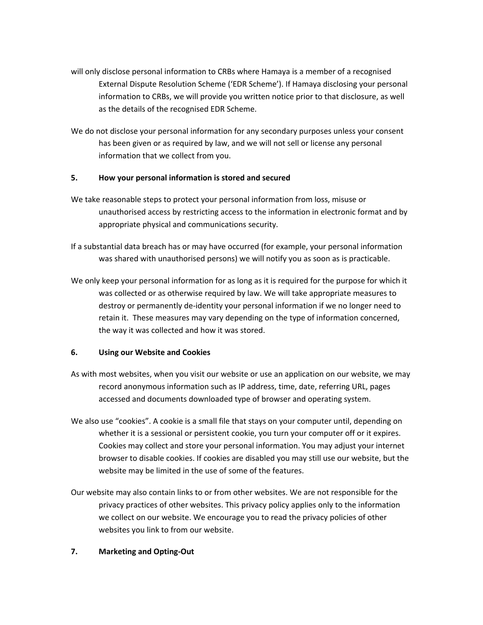- will only disclose personal information to CRBs where Hamaya is a member of a recognised External Dispute Resolution Scheme ('EDR Scheme'). If Hamaya disclosing your personal information to CRBs, we will provide you written notice prior to that disclosure, as well as the details of the recognised EDR Scheme.
- We do not disclose your personal information for any secondary purposes unless your consent has been given or as required by law, and we will not sell or license any personal information that we collect from you.

### **5. How your personal information is stored and secured**

- We take reasonable steps to protect your personal information from loss, misuse or unauthorised access by restricting access to the information in electronic format and by appropriate physical and communications security.
- If a substantial data breach has or may have occurred (for example, your personal information was shared with unauthorised persons) we will notify you as soon as is practicable.
- We only keep your personal information for as long as it is required for the purpose for which it was collected or as otherwise required by law. We will take appropriate measures to destroy or permanently de-identity your personal information if we no longer need to retain it. These measures may vary depending on the type of information concerned, the way it was collected and how it was stored.

## **6. Using our Website and Cookies**

- As with most websites, when you visit our website or use an application on our website, we may record anonymous information such as IP address, time, date, referring URL, pages accessed and documents downloaded type of browser and operating system.
- We also use "cookies". A cookie is a small file that stays on your computer until, depending on whether it is a sessional or persistent cookie, you turn your computer off or it expires. Cookies may collect and store your personal information. You may adjust your internet browser to disable cookies. If cookies are disabled you may still use our website, but the website may be limited in the use of some of the features.
- Our website may also contain links to or from other websites. We are not responsible for the privacy practices of other websites. This privacy policy applies only to the information we collect on our website. We encourage you to read the privacy policies of other websites you link to from our website.

## **7. Marketing and Opting-Out**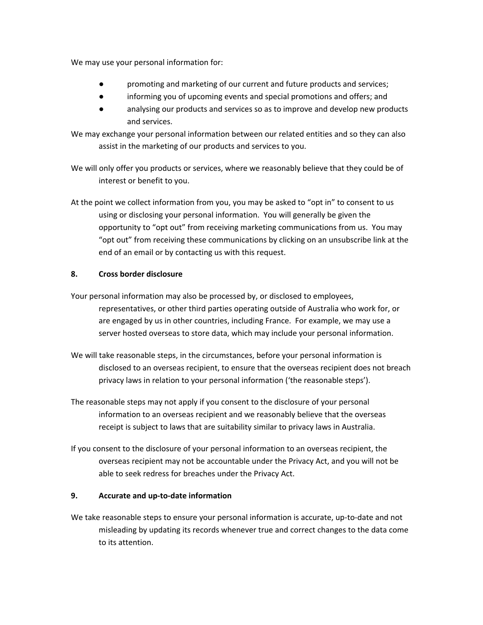We may use your personal information for:

- promoting and marketing of our current and future products and services;
- informing you of upcoming events and special promotions and offers; and
- analysing our products and services so as to improve and develop new products and services.

We may exchange your personal information between our related entities and so they can also assist in the marketing of our products and services to you.

We will only offer you products or services, where we reasonably believe that they could be of interest or benefit to you.

At the point we collect information from you, you may be asked to "opt in" to consent to us using or disclosing your personal information. You will generally be given the opportunity to "opt out" from receiving marketing communications from us. You may "opt out" from receiving these communications by clicking on an unsubscribe link at the end of an email or by contacting us with this request.

### **8. Cross border disclosure**

Your personal information may also be processed by, or disclosed to employees, representatives, or other third parties operating outside of Australia who work for, or are engaged by us in other countries, including France. For example, we may use a server hosted overseas to store data, which may include your personal information.

- We will take reasonable steps, in the circumstances, before your personal information is disclosed to an overseas recipient, to ensure that the overseas recipient does not breach privacy laws in relation to your personal information ('the reasonable steps').
- The reasonable steps may not apply if you consent to the disclosure of your personal information to an overseas recipient and we reasonably believe that the overseas receipt is subject to laws that are suitability similar to privacy laws in Australia.
- If you consent to the disclosure of your personal information to an overseas recipient, the overseas recipient may not be accountable under the Privacy Act, and you will not be able to seek redress for breaches under the Privacy Act.

### **9. Accurate and up-to-date information**

We take reasonable steps to ensure your personal information is accurate, up-to-date and not misleading by updating its records whenever true and correct changes to the data come to its attention.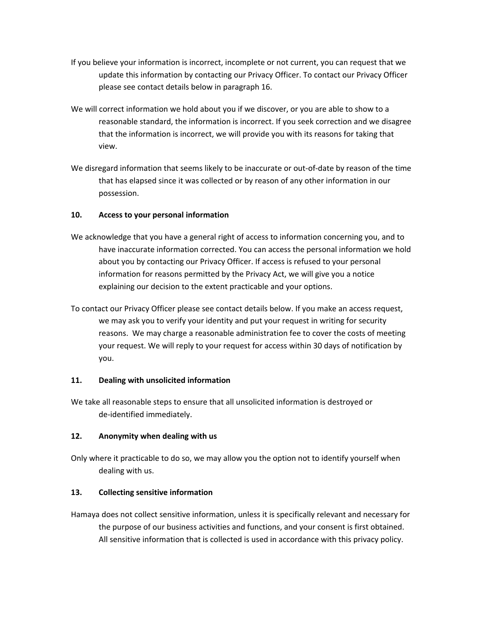- If you believe your information is incorrect, incomplete or not current, you can request that we update this information by contacting our Privacy Officer. To contact our Privacy Officer please see contact details below in paragraph 16.
- We will correct information we hold about you if we discover, or you are able to show to a reasonable standard, the information is incorrect. If you seek correction and we disagree that the information is incorrect, we will provide you with its reasons for taking that view.
- We disregard information that seems likely to be inaccurate or out-of-date by reason of the time that has elapsed since it was collected or by reason of any other information in our possession.

### **10. Access to your personal information**

- We acknowledge that you have a general right of access to information concerning you, and to have inaccurate information corrected. You can access the personal information we hold about you by contacting our Privacy Officer. If access is refused to your personal information for reasons permitted by the Privacy Act, we will give you a notice explaining our decision to the extent practicable and your options.
- To contact our Privacy Officer please see contact details below. If you make an access request, we may ask you to verify your identity and put your request in writing for security reasons. We may charge a reasonable administration fee to cover the costs of meeting your request. We will reply to your request for access within 30 days of notification by you.

### **11. Dealing with unsolicited information**

We take all reasonable steps to ensure that all unsolicited information is destroyed or de-identified immediately.

## **12. Anonymity when dealing with us**

Only where it practicable to do so, we may allow you the option not to identify yourself when dealing with us.

## **13. Collecting sensitive information**

Hamaya does not collect sensitive information, unless it is specifically relevant and necessary for the purpose of our business activities and functions, and your consent is first obtained. All sensitive information that is collected is used in accordance with this privacy policy.